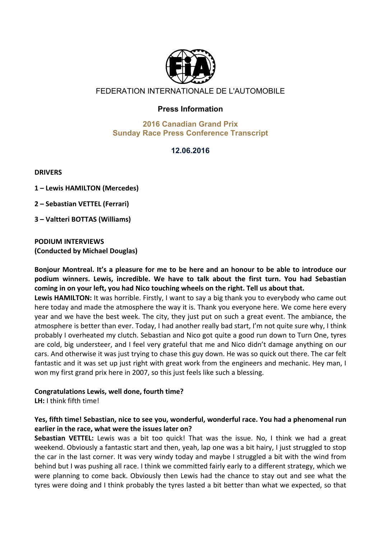

# FEDERATION INTERNATIONALE DE L'AUTOMOBILE

## **Press Information**

#### **2016 Canadian Grand Prix Sunday Race Press Conference Transcript**

## **12.06.2016**

**DRIVERS**

**1 – Lewis HAMILTON (Mercedes)**

**2 – Sebastian VETTEL (Ferrari)**

**3 – Valtteri BOTTAS (Williams)**

**PODIUM INTERVIEWS (Conducted by Michael Douglas)**

Bonjour Montreal. It's a pleasure for me to be here and an honour to be able to introduce our podium winners. Lewis, incredible. We have to talk about the first turn. You had Sebastian coming in on your left, you had Nico touching wheels on the right. Tell us about that.

Lewis HAMILTON: It was horrible. Firstly, I want to say a big thank you to everybody who came out here today and made the atmosphere the way it is. Thank you everyone here. We come here every year and we have the best week. The city, they just put on such a great event. The ambiance, the atmosphere is better than ever. Today, I had another really bad start, I'm not quite sure why, I think probably I overheated my clutch. Sebastian and Nico got quite a good run down to Turn One, tyres are cold, big understeer, and I feel very grateful that me and Nico didn't damage anything on our cars. And otherwise it was just trying to chase this guy down. He was so quick out there. The car felt fantastic and it was set up just right with great work from the engineers and mechanic. Hey man, I won my first grand prix here in 2007, so this just feels like such a blessing.

#### Congratulations Lewis, well done, fourth time?

LH: I think fifth time!

#### Yes, fifth time! Sebastian, nice to see you, wonderful, wonderful race. You had a phenomenal run earlier in the race, what were the issues later on?

**Sebastian VETTEL:** Lewis was a bit too quick! That was the issue. No, I think we had a great weekend. Obviously a fantastic start and then, yeah, lap one was a bit hairy, I just struggled to stop the car in the last corner. It was very windy today and maybe I struggled a bit with the wind from behind but I was pushing all race. I think we committed fairly early to a different strategy, which we were planning to come back. Obviously then Lewis had the chance to stay out and see what the tyres were doing and I think probably the tyres lasted a bit better than what we expected, so that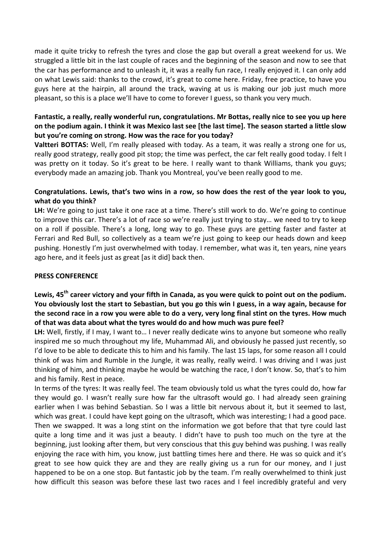made it quite tricky to refresh the tyres and close the gap but overall a great weekend for us. We struggled a little bit in the last couple of races and the beginning of the season and now to see that the car has performance and to unleash it, it was a really fun race, I really enjoyed it. I can only add on what Lewis said: thanks to the crowd, it's great to come here. Friday, free practice, to have you guys here at the hairpin, all around the track, waving at us is making our job just much more pleasant, so this is a place we'll have to come to forever I guess, so thank you very much.

#### Fantastic, a really, really wonderful run, congratulations. Mr Bottas, really nice to see you up here on the podium again. I think it was Mexico last see [the last time]. The season started a little slow but you're coming on strong. How was the race for you today?

**Valtteri BOTTAS:** Well, I'm really pleased with today. As a team, it was really a strong one for us, really good strategy, really good pit stop; the time was perfect, the car felt really good today. I felt I was pretty on it today. So it's great to be here. I really want to thank Williams, thank you guys; everybody made an amazing job. Thank you Montreal, you've been really good to me.

## Congratulations. Lewis, that's two wins in a row, so how does the rest of the year look to you, **what do you think?**

LH: We're going to just take it one race at a time. There's still work to do. We're going to continue to improve this car. There's a lot of race so we're really just trying to stay... we need to try to keep on a roll if possible. There's a long, long way to go. These guys are getting faster and faster at Ferrari and Red Bull, so collectively as a team we're just going to keep our heads down and keep pushing. Honestly I'm just overwhelmed with today. I remember, what was it, ten years, nine years ago here, and it feels just as great [as it did] back then.

#### **PRESS CONFERENCE**

## Lewis, 45<sup>th</sup> career victory and your fifth in Canada, as you were quick to point out on the podium. You obviously lost the start to Sebastian, but you go this win I guess, in a way again, because for the second race in a row you were able to do a very, very long final stint on the tyres. How much of that was data about what the tyres would do and how much was pure feel?

LH: Well, firstly, if I may, I want to... I never really dedicate wins to anyone but someone who really inspired me so much throughout my life, Muhammad Ali, and obviously he passed just recently, so I'd love to be able to dedicate this to him and his family. The last 15 laps, for some reason all I could think of was him and Rumble in the Jungle, it was really, really weird. I was driving and I was just thinking of him, and thinking maybe he would be watching the race, I don't know. So, that's to him and his family. Rest in peace.

In terms of the tyres: It was really feel. The team obviously told us what the tyres could do, how far they would go. I wasn't really sure how far the ultrasoft would go. I had already seen graining earlier when I was behind Sebastian. So I was a little bit nervous about it, but it seemed to last, which was great. I could have kept going on the ultrasoft, which was interesting; I had a good pace. Then we swapped. It was a long stint on the information we got before that that tyre could last quite a long time and it was just a beauty. I didn't have to push too much on the tyre at the beginning, just looking after them, but very conscious that this guy behind was pushing. I was really enjoying the race with him, you know, just battling times here and there. He was so quick and it's great to see how quick they are and they are really giving us a run for our money, and I just happened to be on a one stop. But fantastic job by the team. I'm really overwhelmed to think just how difficult this season was before these last two races and I feel incredibly grateful and very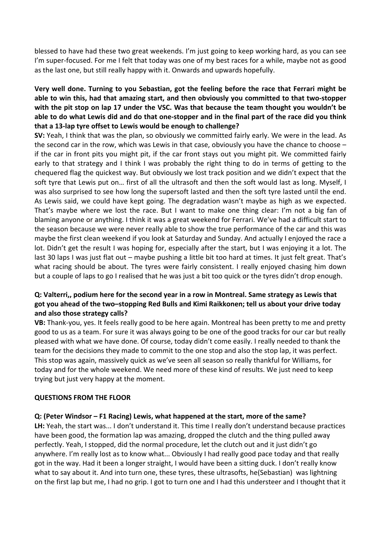blessed to have had these two great weekends. I'm just going to keep working hard, as you can see I'm super-focused. For me I felt that today was one of my best races for a while, maybe not as good as the last one, but still really happy with it. Onwards and upwards hopefully.

## **Very well done. Turning to you Sebastian, got the feeling before the race that Ferrari might be** able to win this, had that amazing start, and then obviously you committed to that two-stopper with the pit stop on lap 17 under the VSC. Was that because the team thought you wouldn't be able to do what Lewis did and do that one-stopper and in the final part of the race did you think that a 13-lap tyre offset to Lewis would be enough to challenge?

**SV:** Yeah, I think that was the plan, so obviously we committed fairly early. We were in the lead. As the second car in the row, which was Lewis in that case, obviously you have the chance to choose  $$ if the car in front pits you might pit, if the car front stays out you might pit. We committed fairly early to that strategy and I think I was probably the right thing to do in terms of getting to the chequered flag the quickest way. But obviously we lost track position and we didn't expect that the soft tyre that Lewis put on... first of all the ultrasoft and then the soft would last as long. Myself, I was also surprised to see how long the supersoft lasted and then the soft tyre lasted until the end. As Lewis said, we could have kept going. The degradation wasn't maybe as high as we expected. That's maybe where we lost the race. But I want to make one thing clear: I'm not a big fan of blaming anyone or anything. I think it was a great weekend for Ferrari. We've had a difficult start to the season because we were never really able to show the true performance of the car and this was maybe the first clean weekend if you look at Saturday and Sunday. And actually I enjoyed the race a lot. Didn't get the result I was hoping for, especially after the start, but I was enjoying it a lot. The last 30 laps I was just flat out – maybe pushing a little bit too hard at times. It just felt great. That's what racing should be about. The tyres were fairly consistent. I really enjoyed chasing him down but a couple of laps to go I realised that he was just a bit too quick or the tyres didn't drop enough.

## **Q:** Valterri,, podium here for the second year in a row in Montreal. Same strategy as Lewis that got you ahead of the two-stopping Red Bulls and Kimi Raikkonen; tell us about your drive today and also those strategy calls?

**VB:** Thank-you, yes. It feels really good to be here again. Montreal has been pretty to me and pretty good to us as a team. For sure it was always going to be one of the good tracks for our car but really pleased with what we have done. Of course, today didn't come easily. I really needed to thank the team for the decisions they made to commit to the one stop and also the stop lap, it was perfect. This stop was again, massively quick as we've seen all season so really thankful for Williams, for today and for the whole weekend. We need more of these kind of results. We just need to keep trying but just very happy at the moment.

#### **QUESTIONS FROM THE FLOOR**

#### **Q:** (Peter Windsor – F1 Racing) Lewis, what happened at the start, more of the same?

LH: Yeah, the start was... I don't understand it. This time I really don't understand because practices have been good, the formation lap was amazing, dropped the clutch and the thing pulled away perfectly. Yeah, I stopped, did the normal procedure, let the clutch out and it just didn't go anywhere. I'm really lost as to know what... Obviously I had really good pace today and that really got in the way. Had it been a longer straight, I would have been a sitting duck. I don't really know what to say about it. And into turn one, these tyres, these ultrasofts, he(Sebastian) was lightning on the first lap but me, I had no grip. I got to turn one and I had this understeer and I thought that it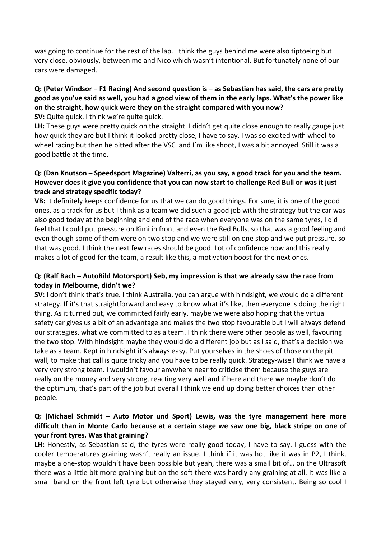was going to continue for the rest of the lap. I think the guys behind me were also tiptoeing but very close, obviously, between me and Nico which wasn't intentional. But fortunately none of our cars were damaged.

## **Q: (Peter Windsor – F1 Racing) And second question is – as Sebastian has said, the cars are pretty**  good as you've said as well, you had a good view of them in the early laps. What's the power like on the straight, how quick were they on the straight compared with you now?

**SV:** Quite quick. I think we're quite quick.

LH: These guys were pretty quick on the straight. I didn't get quite close enough to really gauge just how quick they are but I think it looked pretty close, I have to say. I was so excited with wheel-towheel racing but then he pitted after the VSC and I'm like shoot, I was a bit annoyed. Still it was a good battle at the time.

## **Q: (Dan Knutson – Speedsport Magazine) Valterri, as you say, a good track for you and the team.** However does it give you confidence that you can now start to challenge Red Bull or was it just **track and strategy specific today?**

VB: It definitely keeps confidence for us that we can do good things. For sure, it is one of the good ones, as a track for us but I think as a team we did such a good job with the strategy but the car was also good today at the beginning and end of the race when everyone was on the same tyres, I did feel that I could put pressure on Kimi in front and even the Red Bulls, so that was a good feeling and even though some of them were on two stop and we were still on one stop and we put pressure, so that was good. I think the next few races should be good. Lot of confidence now and this really makes a lot of good for the team, a result like this, a motivation boost for the next ones.

#### **Q:** (Ralf Bach – AutoBild Motorsport) Seb, my impression is that we already saw the race from today in Melbourne, didn't we?

**SV:** I don't think that's true. I think Australia, you can argue with hindsight, we would do a different strategy. If it's that straightforward and easy to know what it's like, then everyone is doing the right thing. As it turned out, we committed fairly early, maybe we were also hoping that the virtual safety car gives us a bit of an advantage and makes the two stop favourable but I will always defend our strategies, what we committed to as a team. I think there were other people as well, favouring the two stop. With hindsight maybe they would do a different job but as I said, that's a decision we take as a team. Kept in hindsight it's always easy. Put yourselves in the shoes of those on the pit wall, to make that call is quite tricky and you have to be really quick. Strategy-wise I think we have a very very strong team. I wouldn't favour anywhere near to criticise them because the guys are really on the money and very strong, reacting very well and if here and there we maybe don't do the optimum, that's part of the job but overall I think we end up doing better choices than other people. 

## **Q:** (Michael Schmidt – Auto Motor und Sport) Lewis, was the tyre management here more difficult than in Monte Carlo because at a certain stage we saw one big, black stripe on one of **your front tyres. Was that graining?**

LH: Honestly, as Sebastian said, the tyres were really good today, I have to say. I guess with the cooler temperatures graining wasn't really an issue. I think if it was hot like it was in P2, I think, maybe a one-stop wouldn't have been possible but yeah, there was a small bit of... on the Ultrasoft there was a little bit more graining but on the soft there was hardly any graining at all. It was like a small band on the front left tyre but otherwise they stayed very, very consistent. Being so cool I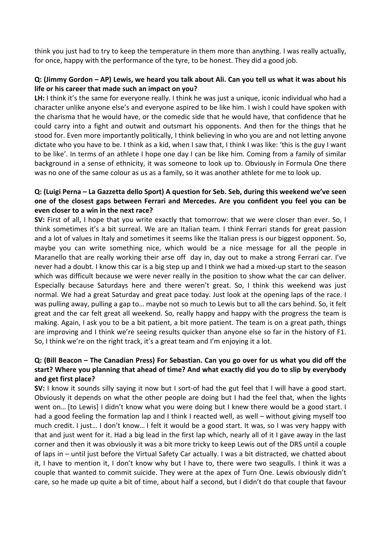think you just had to try to keep the temperature in them more than anything. I was really actually, for once, happy with the performance of the tyre, to be honest. They did a good job.

#### **Q: (Jimmy Gordon – AP) Lewis, we heard you talk about Ali. Can you tell us what it was about his life or his career that made such an impact on you?**

LH: I think it's the same for everyone really. I think he was just a unique, iconic individual who had a character unlike anyone else's and everyone aspired to be like him. I wish I could have spoken with the charisma that he would have, or the comedic side that he would have, that confidence that he could carry into a fight and outwit and outsmart his opponents. And then for the things that he stood for. Even more importantly politically, I think believing in who you are and not letting anyone dictate who you have to be. I think as a kid, when I saw that, I think I was like: 'this is the guy I want to be like'. In terms of an athlete I hope one day I can be like him. Coming from a family of similar background in a sense of ethnicity, it was someone to look up to. Obviously in Formula One there was no one of the same colour as us as a family, so it was another athlete for me to look up.

## **Q: (Luigi Perna – La Gazzetta dello Sport) A question for Seb. Seb, during this weekend we've seen** one of the closest gaps between Ferrari and Mercedes. Are you confident you feel you can be **even closer to a win in the next race?**

**SV:** First of all, I hope that you write exactly that tomorrow: that we were closer than ever. So, I think sometimes it's a bit surreal. We are an Italian team. I think Ferrari stands for great passion and a lot of values in Italy and sometimes it seems like the Italian press is our biggest opponent. So, maybe you can write something nice, which would be a nice message for all the people in Maranello that are really working their arse off day in, day out to make a strong Ferrari car. I've never had a doubt. I know this car is a big step up and I think we had a mixed-up start to the season which was difficult because we were never really in the position to show what the car can deliver. Especially because Saturdays here and there weren't great. So, I think this weekend was just normal. We had a great Saturday and great pace today. Just look at the opening laps of the race. I was pulling away, pulling a gap to... maybe not so much to Lewis but to all the cars behind. So, it felt great and the car felt great all weekend. So, really happy and happy with the progress the team is making. Again, I ask you to be a bit patient, a bit more patient. The team is on a great path, things are improving and I think we're seeing results quicker than anyone else so far in the history of F1. So, I think we're on the right track, it's a great team and I'm enjoying it a lot.

## **Q: (Bill Beacon – The Canadian Press) For Sebastian. Can you go over for us what you did off the**  start? Where you planning that ahead of time? And what exactly did you do to slip by everybody **and get first place?**

**SV:** I know it sounds silly saying it now but I sort-of had the gut feel that I will have a good start. Obviously it depends on what the other people are doing but I had the feel that, when the lights went on... [to Lewis] I didn't know what you were doing but I knew there would be a good start. I had a good feeling the formation lap and I think I reacted well, as well – without giving myself too much credit. I just... I don't know... I felt it would be a good start. It was, so I was very happy with that and just went for it. Had a big lead in the first lap which, nearly all of it I gave away in the last corner and then it was obviously it was a bit more tricky to keep Lewis out of the DRS until a couple of laps in – until just before the Virtual Safety Car actually. I was a bit distracted, we chatted about it, I have to mention it, I don't know why but I have to, there were two seagulls. I think it was a couple that wanted to commit suicide. They were at the apex of Turn One. Lewis obviously didn't care, so he made up quite a bit of time, about half a second, but I didn't do that couple that favour